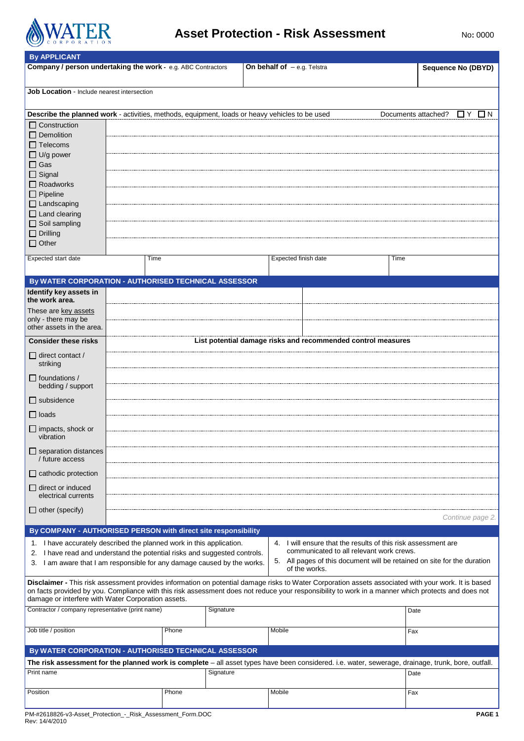

# **Asset Protection - Risk Assessment** No: 0000

| <b>By APPLICANT</b>                                                                                                                                                                                                                                                                                                                                             |      |       |                                                                                                                                      |                                                               |                                         |
|-----------------------------------------------------------------------------------------------------------------------------------------------------------------------------------------------------------------------------------------------------------------------------------------------------------------------------------------------------------------|------|-------|--------------------------------------------------------------------------------------------------------------------------------------|---------------------------------------------------------------|-----------------------------------------|
| Company / person undertaking the work - e.g. ABC Contractors                                                                                                                                                                                                                                                                                                    |      |       |                                                                                                                                      | <b>On behalf of</b> $-$ e.g. Telstra                          | <b>Sequence No (DBYD)</b>               |
| <b>Job Location</b> - Include nearest intersection                                                                                                                                                                                                                                                                                                              |      |       |                                                                                                                                      |                                                               |                                         |
| Describe the planned work - activities, methods, equipment, loads or heavy vehicles to be used<br>$\Box$ Construction<br>$\Box$ Demolition<br>$\Box$ Telecoms<br>$\Box$ U/g power<br>$\Box$ Gas<br>$\Box$ Signal<br>$\Box$ Roadworks<br>$\Box$ Pipeline                                                                                                         |      |       |                                                                                                                                      |                                                               | Documents attached?<br><b>O</b> Y<br>ON |
| $\Box$ Landscaping<br>$\Box$ Land clearing<br>$\Box$ Soil sampling<br>$\Box$ Drilling<br>$\Box$ Other                                                                                                                                                                                                                                                           |      |       |                                                                                                                                      |                                                               |                                         |
| <b>Expected start date</b>                                                                                                                                                                                                                                                                                                                                      | Time |       |                                                                                                                                      | Expected finish date                                          | Time                                    |
| By WATER CORPORATION - AUTHORISED TECHNICAL ASSESSOR                                                                                                                                                                                                                                                                                                            |      |       |                                                                                                                                      |                                                               |                                         |
| Identify key assets in<br>the work area.                                                                                                                                                                                                                                                                                                                        |      |       |                                                                                                                                      |                                                               |                                         |
| These are key assets<br>only - there may be<br>other assets in the area.                                                                                                                                                                                                                                                                                        |      |       |                                                                                                                                      |                                                               |                                         |
| <b>Consider these risks</b>                                                                                                                                                                                                                                                                                                                                     |      |       |                                                                                                                                      | List potential damage risks and recommended control measures  |                                         |
| $\Box$ direct contact /<br>striking                                                                                                                                                                                                                                                                                                                             |      |       |                                                                                                                                      |                                                               |                                         |
| $\Box$ foundations /<br>bedding / support                                                                                                                                                                                                                                                                                                                       |      |       |                                                                                                                                      |                                                               |                                         |
| $\Box$ subsidence                                                                                                                                                                                                                                                                                                                                               |      |       |                                                                                                                                      |                                                               |                                         |
| $\Box$ loads                                                                                                                                                                                                                                                                                                                                                    |      |       |                                                                                                                                      |                                                               |                                         |
| $\Box$ impacts, shock or<br>vibration                                                                                                                                                                                                                                                                                                                           |      |       |                                                                                                                                      |                                                               |                                         |
| $\Box$ separation distances<br>/ future access                                                                                                                                                                                                                                                                                                                  |      |       |                                                                                                                                      |                                                               |                                         |
| $\Box$ cathodic protection                                                                                                                                                                                                                                                                                                                                      |      |       |                                                                                                                                      |                                                               |                                         |
| direct or induced<br>electrical currents                                                                                                                                                                                                                                                                                                                        |      |       |                                                                                                                                      |                                                               |                                         |
| $\Box$ other (specify)                                                                                                                                                                                                                                                                                                                                          |      |       |                                                                                                                                      |                                                               | Continue page 2                         |
| By COMPANY - AUTHORISED PERSON with direct site responsibility                                                                                                                                                                                                                                                                                                  |      |       |                                                                                                                                      |                                                               |                                         |
|                                                                                                                                                                                                                                                                                                                                                                 |      |       |                                                                                                                                      | 4. I will ensure that the results of this risk assessment are |                                         |
| 1. I have accurately described the planned work in this application.<br>2. I have read and understand the potential risks and suggested controls.<br>3. I am aware that I am responsible for any damage caused by the works.                                                                                                                                    |      |       | communicated to all relevant work crews.<br>5. All pages of this document will be retained on site for the duration<br>of the works. |                                                               |                                         |
| Disclaimer - This risk assessment provides information on potential damage risks to Water Corporation assets associated with your work. It is based<br>on facts provided by you. Compliance with this risk assessment does not reduce your responsibility to work in a manner which protects and does not<br>damage or interfere with Water Corporation assets. |      |       |                                                                                                                                      |                                                               |                                         |
| Contractor / company representative (print name)                                                                                                                                                                                                                                                                                                                |      |       | Signature                                                                                                                            |                                                               | Date                                    |
| Job title / position                                                                                                                                                                                                                                                                                                                                            |      | Phone |                                                                                                                                      | Mobile                                                        | Fax                                     |
| By WATER CORPORATION - AUTHORISED TECHNICAL ASSESSOR                                                                                                                                                                                                                                                                                                            |      |       |                                                                                                                                      |                                                               |                                         |
| The risk assessment for the planned work is complete - all asset types have been considered. i.e. water, sewerage, drainage, trunk, bore, outfall.                                                                                                                                                                                                              |      |       |                                                                                                                                      |                                                               |                                         |
| Print name                                                                                                                                                                                                                                                                                                                                                      |      |       | Signature                                                                                                                            |                                                               | Date                                    |
| Position                                                                                                                                                                                                                                                                                                                                                        |      | Phone |                                                                                                                                      | Mobile                                                        | Fax                                     |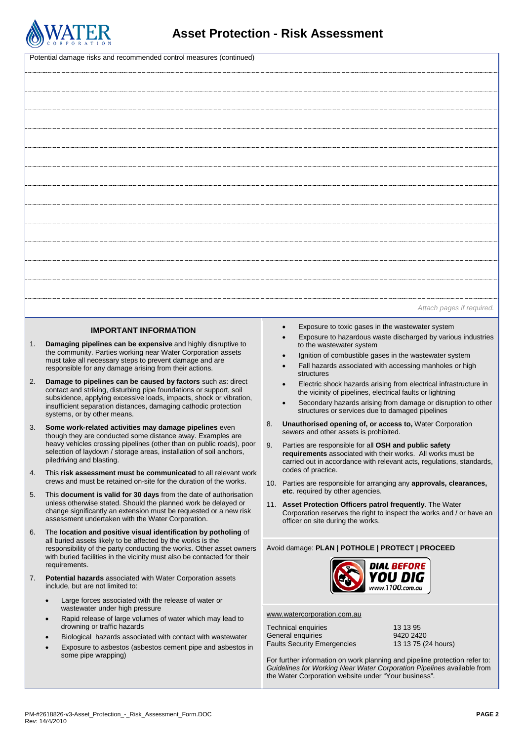

| Potential damage risks and recommended control measures (continued) |                                                                                                                                                                                                                                                                                                                                                                                                                                                                                                                                                                                                                                                                                                                                                                                                                                                                                                                                                                                                                                                                                                                                                                                                                                                                                                                                                                                                                                                                                                                                                                                                                                                                                                                                                                                                                      |                                                                                                                                                                                                                                                                                                                                                                                                                                                                                                                                                                                                                                                                                                                                                                                                                                                                                                                                                                                                                                                                                                                                                                                                                                                                                 |  |  |
|---------------------------------------------------------------------|----------------------------------------------------------------------------------------------------------------------------------------------------------------------------------------------------------------------------------------------------------------------------------------------------------------------------------------------------------------------------------------------------------------------------------------------------------------------------------------------------------------------------------------------------------------------------------------------------------------------------------------------------------------------------------------------------------------------------------------------------------------------------------------------------------------------------------------------------------------------------------------------------------------------------------------------------------------------------------------------------------------------------------------------------------------------------------------------------------------------------------------------------------------------------------------------------------------------------------------------------------------------------------------------------------------------------------------------------------------------------------------------------------------------------------------------------------------------------------------------------------------------------------------------------------------------------------------------------------------------------------------------------------------------------------------------------------------------------------------------------------------------------------------------------------------------|---------------------------------------------------------------------------------------------------------------------------------------------------------------------------------------------------------------------------------------------------------------------------------------------------------------------------------------------------------------------------------------------------------------------------------------------------------------------------------------------------------------------------------------------------------------------------------------------------------------------------------------------------------------------------------------------------------------------------------------------------------------------------------------------------------------------------------------------------------------------------------------------------------------------------------------------------------------------------------------------------------------------------------------------------------------------------------------------------------------------------------------------------------------------------------------------------------------------------------------------------------------------------------|--|--|
|                                                                     |                                                                                                                                                                                                                                                                                                                                                                                                                                                                                                                                                                                                                                                                                                                                                                                                                                                                                                                                                                                                                                                                                                                                                                                                                                                                                                                                                                                                                                                                                                                                                                                                                                                                                                                                                                                                                      |                                                                                                                                                                                                                                                                                                                                                                                                                                                                                                                                                                                                                                                                                                                                                                                                                                                                                                                                                                                                                                                                                                                                                                                                                                                                                 |  |  |
|                                                                     |                                                                                                                                                                                                                                                                                                                                                                                                                                                                                                                                                                                                                                                                                                                                                                                                                                                                                                                                                                                                                                                                                                                                                                                                                                                                                                                                                                                                                                                                                                                                                                                                                                                                                                                                                                                                                      |                                                                                                                                                                                                                                                                                                                                                                                                                                                                                                                                                                                                                                                                                                                                                                                                                                                                                                                                                                                                                                                                                                                                                                                                                                                                                 |  |  |
|                                                                     |                                                                                                                                                                                                                                                                                                                                                                                                                                                                                                                                                                                                                                                                                                                                                                                                                                                                                                                                                                                                                                                                                                                                                                                                                                                                                                                                                                                                                                                                                                                                                                                                                                                                                                                                                                                                                      |                                                                                                                                                                                                                                                                                                                                                                                                                                                                                                                                                                                                                                                                                                                                                                                                                                                                                                                                                                                                                                                                                                                                                                                                                                                                                 |  |  |
|                                                                     |                                                                                                                                                                                                                                                                                                                                                                                                                                                                                                                                                                                                                                                                                                                                                                                                                                                                                                                                                                                                                                                                                                                                                                                                                                                                                                                                                                                                                                                                                                                                                                                                                                                                                                                                                                                                                      |                                                                                                                                                                                                                                                                                                                                                                                                                                                                                                                                                                                                                                                                                                                                                                                                                                                                                                                                                                                                                                                                                                                                                                                                                                                                                 |  |  |
|                                                                     |                                                                                                                                                                                                                                                                                                                                                                                                                                                                                                                                                                                                                                                                                                                                                                                                                                                                                                                                                                                                                                                                                                                                                                                                                                                                                                                                                                                                                                                                                                                                                                                                                                                                                                                                                                                                                      |                                                                                                                                                                                                                                                                                                                                                                                                                                                                                                                                                                                                                                                                                                                                                                                                                                                                                                                                                                                                                                                                                                                                                                                                                                                                                 |  |  |
|                                                                     |                                                                                                                                                                                                                                                                                                                                                                                                                                                                                                                                                                                                                                                                                                                                                                                                                                                                                                                                                                                                                                                                                                                                                                                                                                                                                                                                                                                                                                                                                                                                                                                                                                                                                                                                                                                                                      |                                                                                                                                                                                                                                                                                                                                                                                                                                                                                                                                                                                                                                                                                                                                                                                                                                                                                                                                                                                                                                                                                                                                                                                                                                                                                 |  |  |
|                                                                     |                                                                                                                                                                                                                                                                                                                                                                                                                                                                                                                                                                                                                                                                                                                                                                                                                                                                                                                                                                                                                                                                                                                                                                                                                                                                                                                                                                                                                                                                                                                                                                                                                                                                                                                                                                                                                      |                                                                                                                                                                                                                                                                                                                                                                                                                                                                                                                                                                                                                                                                                                                                                                                                                                                                                                                                                                                                                                                                                                                                                                                                                                                                                 |  |  |
|                                                                     |                                                                                                                                                                                                                                                                                                                                                                                                                                                                                                                                                                                                                                                                                                                                                                                                                                                                                                                                                                                                                                                                                                                                                                                                                                                                                                                                                                                                                                                                                                                                                                                                                                                                                                                                                                                                                      |                                                                                                                                                                                                                                                                                                                                                                                                                                                                                                                                                                                                                                                                                                                                                                                                                                                                                                                                                                                                                                                                                                                                                                                                                                                                                 |  |  |
|                                                                     |                                                                                                                                                                                                                                                                                                                                                                                                                                                                                                                                                                                                                                                                                                                                                                                                                                                                                                                                                                                                                                                                                                                                                                                                                                                                                                                                                                                                                                                                                                                                                                                                                                                                                                                                                                                                                      |                                                                                                                                                                                                                                                                                                                                                                                                                                                                                                                                                                                                                                                                                                                                                                                                                                                                                                                                                                                                                                                                                                                                                                                                                                                                                 |  |  |
|                                                                     |                                                                                                                                                                                                                                                                                                                                                                                                                                                                                                                                                                                                                                                                                                                                                                                                                                                                                                                                                                                                                                                                                                                                                                                                                                                                                                                                                                                                                                                                                                                                                                                                                                                                                                                                                                                                                      |                                                                                                                                                                                                                                                                                                                                                                                                                                                                                                                                                                                                                                                                                                                                                                                                                                                                                                                                                                                                                                                                                                                                                                                                                                                                                 |  |  |
|                                                                     |                                                                                                                                                                                                                                                                                                                                                                                                                                                                                                                                                                                                                                                                                                                                                                                                                                                                                                                                                                                                                                                                                                                                                                                                                                                                                                                                                                                                                                                                                                                                                                                                                                                                                                                                                                                                                      |                                                                                                                                                                                                                                                                                                                                                                                                                                                                                                                                                                                                                                                                                                                                                                                                                                                                                                                                                                                                                                                                                                                                                                                                                                                                                 |  |  |
|                                                                     |                                                                                                                                                                                                                                                                                                                                                                                                                                                                                                                                                                                                                                                                                                                                                                                                                                                                                                                                                                                                                                                                                                                                                                                                                                                                                                                                                                                                                                                                                                                                                                                                                                                                                                                                                                                                                      |                                                                                                                                                                                                                                                                                                                                                                                                                                                                                                                                                                                                                                                                                                                                                                                                                                                                                                                                                                                                                                                                                                                                                                                                                                                                                 |  |  |
|                                                                     |                                                                                                                                                                                                                                                                                                                                                                                                                                                                                                                                                                                                                                                                                                                                                                                                                                                                                                                                                                                                                                                                                                                                                                                                                                                                                                                                                                                                                                                                                                                                                                                                                                                                                                                                                                                                                      | Attach pages if required.                                                                                                                                                                                                                                                                                                                                                                                                                                                                                                                                                                                                                                                                                                                                                                                                                                                                                                                                                                                                                                                                                                                                                                                                                                                       |  |  |
| 1.<br>2.<br>3.<br>4.<br>5.                                          | <b>IMPORTANT INFORMATION</b><br>Damaging pipelines can be expensive and highly disruptive to<br>the community. Parties working near Water Corporation assets<br>must take all necessary steps to prevent damage and are<br>responsible for any damage arising from their actions.<br>Damage to pipelines can be caused by factors such as: direct<br>contact and striking, disturbing pipe foundations or support, soil<br>subsidence, applying excessive loads, impacts, shock or vibration,<br>insufficient separation distances, damaging cathodic protection<br>systems, or by other means.<br>Some work-related activities may damage pipelines even<br>though they are conducted some distance away. Examples are<br>heavy vehicles crossing pipelines (other than on public roads), poor<br>selection of laydown / storage areas, installation of soil anchors,<br>piledriving and blasting.<br>This risk assessment must be communicated to all relevant work<br>crews and must be retained on-site for the duration of the works.<br>This document is valid for 30 days from the date of authorisation<br>unless otherwise stated. Should the planned work be delayed or<br>change significantly an extension must be requested or a new risk<br>assessment undertaken with the Water Corporation.<br>The location and positive visual identification by potholing of<br>all buried assets likely to be affected by the works is the<br>responsibility of the party conducting the works. Other asset owners<br>with buried facilities in the vicinity must also be contacted for their<br>requirements.<br><b>Potential hazards</b> associated with Water Corporation assets<br>include, but are not limited to:<br>Large forces associated with the release of water or<br>wastewater under high pressure | Exposure to toxic gases in the wastewater system<br>Exposure to hazardous waste discharged by various industries<br>to the wastewater system<br>Ignition of combustible gases in the wastewater system<br>Fall hazards associated with accessing manholes or high<br>structures<br>Electric shock hazards arising from electrical infrastructure in<br>the vicinity of pipelines, electrical faults or lightning<br>Secondary hazards arising from damage or disruption to other<br>structures or services due to damaged pipelines<br>Unauthorised opening of, or access to, Water Corporation<br>8.<br>sewers and other assets is prohibited.<br>9. Parties are responsible for all OSH and public safety<br>requirements associated with their works. All works must be<br>carried out in accordance with relevant acts, regulations, standards,<br>codes of practice.<br>10. Parties are responsible for arranging any approvals, clearances,<br>etc. required by other agencies.<br>11. Asset Protection Officers patrol frequently. The Water<br>Corporation reserves the right to inspect the works and / or have an<br>officer on site during the works.<br>Avoid damage: PLAN   POTHOLE   PROTECT   PROCEED<br><b>DIAL BEFORE</b><br><b>YOU DIG</b><br>www.1100.com.au |  |  |
| 6.<br>7.                                                            |                                                                                                                                                                                                                                                                                                                                                                                                                                                                                                                                                                                                                                                                                                                                                                                                                                                                                                                                                                                                                                                                                                                                                                                                                                                                                                                                                                                                                                                                                                                                                                                                                                                                                                                                                                                                                      |                                                                                                                                                                                                                                                                                                                                                                                                                                                                                                                                                                                                                                                                                                                                                                                                                                                                                                                                                                                                                                                                                                                                                                                                                                                                                 |  |  |
|                                                                     | Rapid release of large volumes of water which may lead to<br>$\bullet$<br>drowning or traffic hazards<br>Biological hazards associated with contact with wastewater<br>Exposure to asbestos (asbestos cement pipe and asbestos in<br>some pipe wrapping)                                                                                                                                                                                                                                                                                                                                                                                                                                                                                                                                                                                                                                                                                                                                                                                                                                                                                                                                                                                                                                                                                                                                                                                                                                                                                                                                                                                                                                                                                                                                                             | www.watercorporation.com.au<br>Technical enquiries<br>13 13 95<br>General enquiries<br>9420 2420<br><b>Faults Security Emergencies</b><br>13 13 75 (24 hours)<br>For further information on work planning and pipeline protection refer to:<br>Guidelines for Working Near Water Corporation Pipelines available from<br>the Water Corporation website under "Your business".                                                                                                                                                                                                                                                                                                                                                                                                                                                                                                                                                                                                                                                                                                                                                                                                                                                                                                   |  |  |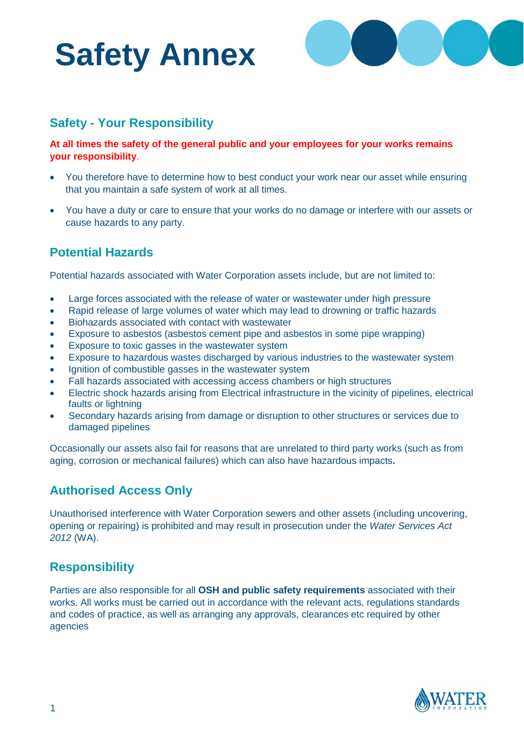# **Safety Annex**



# **Safety - Your Responsibility**

**At all times the safety of the general public and your employees for your works remains your responsibility**.

- You therefore have to determine how to best conduct your work near our asset while ensuring that you maintain a safe system of work at all times.
- You have a duty or care to ensure that your works do no damage or interfere with our assets or cause hazards to any party.

# **Potential Hazards**

Potential hazards associated with Water Corporation assets include, but are not limited to:

- Large forces associated with the release of water or wastewater under high pressure
- Rapid release of large volumes of water which may lead to drowning or traffic hazards
- Biohazards associated with contact with wastewater
- Exposure to asbestos (asbestos cement pipe and asbestos in some pipe wrapping)
- Exposure to toxic gasses in the wastewater system
- Exposure to hazardous wastes discharged by various industries to the wastewater system
- Ignition of combustible gasses in the wastewater system
- Fall hazards associated with accessing access chambers or high structures
- Electric shock hazards arising from Electrical infrastructure in the vicinity of pipelines, electrical faults or lightning
- Secondary hazards arising from damage or disruption to other structures or services due to damaged pipelines

Occasionally our assets also fail for reasons that are unrelated to third party works (such as from aging, corrosion or mechanical failures) which can also have hazardous impacts**.**

# **Authorised Access Only**

Unauthorised interference with Water Corporation sewers and other assets (including uncovering, opening or repairing) is prohibited and may result in prosecution under the *Water Services Act 2012* (WA).

# **Responsibility**

Parties are also responsible for all **OSH and public safety requirements** associated with their works. All works must be carried out in accordance with the relevant acts, regulations standards and codes of practice, as well as arranging any approvals, clearances etc required by other agencies

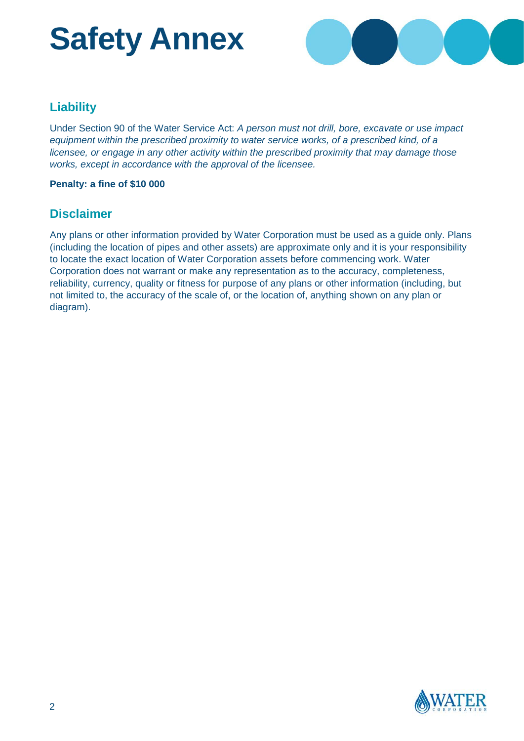# **Safety Annex**



### **Liability**

Under Section 90 of the Water Service Act: *A person must not drill, bore, excavate or use impact equipment within the prescribed proximity to water service works, of a prescribed kind, of a licensee, or engage in any other activity within the prescribed proximity that may damage those works, except in accordance with the approval of the licensee.*

#### **Penalty: a fine of \$10 000**

#### **Disclaimer**

Any plans or other information provided by Water Corporation must be used as a guide only. Plans (including the location of pipes and other assets) are approximate only and it is your responsibility to locate the exact location of Water Corporation assets before commencing work. Water Corporation does not warrant or make any representation as to the accuracy, completeness, reliability, currency, quality or fitness for purpose of any plans or other information (including, but not limited to, the accuracy of the scale of, or the location of, anything shown on any plan or diagram).

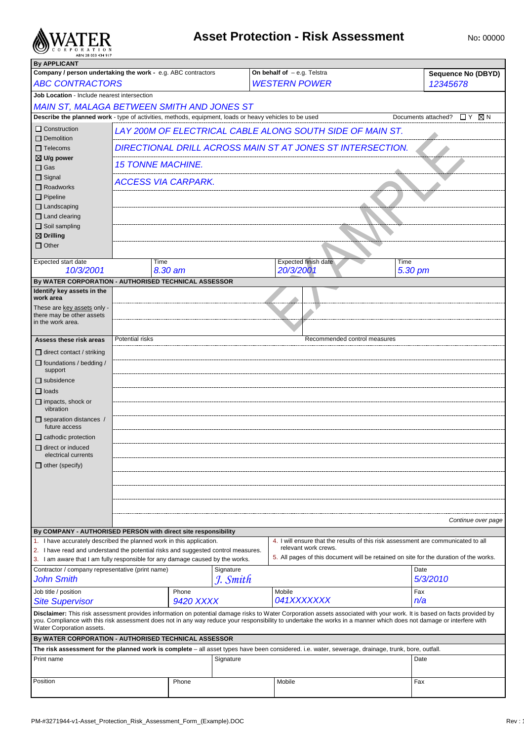

# **Asset Protection - Risk Assessment** No: 00000

| <b>By APPLICANT</b>                                                                                                                                                                                                                                                                                                                                                         |                            |                                                            |           |                                                                                                                                                    |                                              |  |  |
|-----------------------------------------------------------------------------------------------------------------------------------------------------------------------------------------------------------------------------------------------------------------------------------------------------------------------------------------------------------------------------|----------------------------|------------------------------------------------------------|-----------|----------------------------------------------------------------------------------------------------------------------------------------------------|----------------------------------------------|--|--|
| Company / person undertaking the work - e.g. ABC contractors                                                                                                                                                                                                                                                                                                                |                            |                                                            |           | On behalf of $-$ e.g. Telstra                                                                                                                      | <b>Sequence No (DBYD)</b>                    |  |  |
| <b>ABC CONTRACTORS</b>                                                                                                                                                                                                                                                                                                                                                      |                            |                                                            |           | <b>WESTERN POWER</b>                                                                                                                               | 12345678                                     |  |  |
| Job Location - Include nearest intersection                                                                                                                                                                                                                                                                                                                                 |                            |                                                            |           |                                                                                                                                                    |                                              |  |  |
| <b>MAIN ST, MALAGA BETWEEN SMITH AND JONES ST</b>                                                                                                                                                                                                                                                                                                                           |                            |                                                            |           |                                                                                                                                                    |                                              |  |  |
| Describe the planned work - type of activities, methods, equipment, loads or heavy vehicles to be used                                                                                                                                                                                                                                                                      |                            |                                                            |           |                                                                                                                                                    | $\Box$ $Y$ $\Box$ $N$<br>Documents attached? |  |  |
|                                                                                                                                                                                                                                                                                                                                                                             |                            |                                                            |           |                                                                                                                                                    |                                              |  |  |
| Construction<br>$\Box$ Demolition                                                                                                                                                                                                                                                                                                                                           |                            |                                                            |           | LAY 200M OF ELECTRICAL CABLE ALONG SOUTH SIDE OF MAIN ST.                                                                                          |                                              |  |  |
|                                                                                                                                                                                                                                                                                                                                                                             |                            |                                                            |           |                                                                                                                                                    |                                              |  |  |
| $\Box$ Telecoms<br>$\boxtimes$ U/g power                                                                                                                                                                                                                                                                                                                                    |                            | DIRECTIONAL DRILL ACROSS MAIN ST AT JONES ST INTERSECTION. |           |                                                                                                                                                    |                                              |  |  |
| $\square$ Gas                                                                                                                                                                                                                                                                                                                                                               | <b>15 TONNE MACHINE.</b>   |                                                            |           |                                                                                                                                                    |                                              |  |  |
| $\Box$ Signal                                                                                                                                                                                                                                                                                                                                                               |                            |                                                            |           |                                                                                                                                                    |                                              |  |  |
| $\Box$ Roadworks                                                                                                                                                                                                                                                                                                                                                            | <b>ACCESS VIA CARPARK.</b> |                                                            |           |                                                                                                                                                    |                                              |  |  |
| $\Box$ Pipeline                                                                                                                                                                                                                                                                                                                                                             |                            |                                                            |           |                                                                                                                                                    |                                              |  |  |
| $\Box$ Landscaping                                                                                                                                                                                                                                                                                                                                                          |                            |                                                            |           |                                                                                                                                                    |                                              |  |  |
| $\Box$ Land clearing                                                                                                                                                                                                                                                                                                                                                        |                            |                                                            |           |                                                                                                                                                    |                                              |  |  |
| $\Box$ Soil sampling                                                                                                                                                                                                                                                                                                                                                        |                            |                                                            |           |                                                                                                                                                    |                                              |  |  |
| $\boxtimes$ Drilling                                                                                                                                                                                                                                                                                                                                                        |                            |                                                            |           |                                                                                                                                                    |                                              |  |  |
| $\Box$ Other                                                                                                                                                                                                                                                                                                                                                                |                            |                                                            |           |                                                                                                                                                    |                                              |  |  |
|                                                                                                                                                                                                                                                                                                                                                                             |                            |                                                            |           |                                                                                                                                                    |                                              |  |  |
| <b>Expected start date</b>                                                                                                                                                                                                                                                                                                                                                  | Time                       |                                                            |           | Expected finish date<br>Time                                                                                                                       |                                              |  |  |
| 10/3/2001                                                                                                                                                                                                                                                                                                                                                                   |                            | 8.30 am                                                    |           | 20/3/2001                                                                                                                                          | 5.30 pm                                      |  |  |
| By WATER CORPORATION - AUTHORISED TECHNICAL ASSESSOR                                                                                                                                                                                                                                                                                                                        |                            |                                                            |           |                                                                                                                                                    |                                              |  |  |
| Identify key assets in the                                                                                                                                                                                                                                                                                                                                                  |                            |                                                            |           |                                                                                                                                                    |                                              |  |  |
| work area                                                                                                                                                                                                                                                                                                                                                                   |                            |                                                            |           |                                                                                                                                                    |                                              |  |  |
| These are key assets only -                                                                                                                                                                                                                                                                                                                                                 |                            |                                                            |           |                                                                                                                                                    |                                              |  |  |
| there may be other assets<br>in the work area.                                                                                                                                                                                                                                                                                                                              |                            |                                                            |           |                                                                                                                                                    |                                              |  |  |
|                                                                                                                                                                                                                                                                                                                                                                             |                            |                                                            |           |                                                                                                                                                    |                                              |  |  |
| Assess these risk areas                                                                                                                                                                                                                                                                                                                                                     | Potential risks            |                                                            |           | Recommended control measures                                                                                                                       |                                              |  |  |
| $\Box$ direct contact / striking                                                                                                                                                                                                                                                                                                                                            |                            |                                                            |           |                                                                                                                                                    |                                              |  |  |
|                                                                                                                                                                                                                                                                                                                                                                             |                            |                                                            |           |                                                                                                                                                    |                                              |  |  |
| $\Box$ foundations / bedding /<br>support                                                                                                                                                                                                                                                                                                                                   |                            |                                                            |           |                                                                                                                                                    |                                              |  |  |
| $\Box$ subsidence                                                                                                                                                                                                                                                                                                                                                           |                            |                                                            |           |                                                                                                                                                    |                                              |  |  |
|                                                                                                                                                                                                                                                                                                                                                                             |                            |                                                            |           |                                                                                                                                                    |                                              |  |  |
| $\Box$ loads                                                                                                                                                                                                                                                                                                                                                                |                            |                                                            |           |                                                                                                                                                    |                                              |  |  |
| $\Box$ impacts, shock or<br>vibration                                                                                                                                                                                                                                                                                                                                       |                            |                                                            |           |                                                                                                                                                    |                                              |  |  |
| $\Box$ separation distances /                                                                                                                                                                                                                                                                                                                                               |                            |                                                            |           |                                                                                                                                                    |                                              |  |  |
| future access                                                                                                                                                                                                                                                                                                                                                               |                            |                                                            |           |                                                                                                                                                    |                                              |  |  |
| $\Box$ cathodic protection                                                                                                                                                                                                                                                                                                                                                  |                            |                                                            |           |                                                                                                                                                    |                                              |  |  |
| $\Box$ direct or induced                                                                                                                                                                                                                                                                                                                                                    |                            |                                                            |           |                                                                                                                                                    |                                              |  |  |
| electrical currents                                                                                                                                                                                                                                                                                                                                                         |                            |                                                            |           |                                                                                                                                                    |                                              |  |  |
| $\Box$ other (specify)                                                                                                                                                                                                                                                                                                                                                      |                            |                                                            |           |                                                                                                                                                    |                                              |  |  |
|                                                                                                                                                                                                                                                                                                                                                                             |                            |                                                            |           |                                                                                                                                                    |                                              |  |  |
|                                                                                                                                                                                                                                                                                                                                                                             |                            |                                                            |           |                                                                                                                                                    |                                              |  |  |
|                                                                                                                                                                                                                                                                                                                                                                             |                            |                                                            |           |                                                                                                                                                    |                                              |  |  |
|                                                                                                                                                                                                                                                                                                                                                                             |                            |                                                            |           |                                                                                                                                                    |                                              |  |  |
|                                                                                                                                                                                                                                                                                                                                                                             |                            |                                                            |           |                                                                                                                                                    |                                              |  |  |
|                                                                                                                                                                                                                                                                                                                                                                             |                            |                                                            |           |                                                                                                                                                    | Continue over page                           |  |  |
| By COMPANY - AUTHORISED PERSON with direct site responsibility                                                                                                                                                                                                                                                                                                              |                            |                                                            |           |                                                                                                                                                    |                                              |  |  |
| 1. I have accurately described the planned work in this application.                                                                                                                                                                                                                                                                                                        |                            |                                                            |           | 4. I will ensure that the results of this risk assessment are communicated to all                                                                  |                                              |  |  |
| 2. I have read and understand the potential risks and suggested control measures.                                                                                                                                                                                                                                                                                           |                            |                                                            |           | relevant work crews.                                                                                                                               |                                              |  |  |
| 3. I am aware that I am fully responsible for any damage caused by the works.                                                                                                                                                                                                                                                                                               |                            |                                                            |           | 5. All pages of this document will be retained on site for the duration of the works.                                                              |                                              |  |  |
| Contractor / company representative (print name)                                                                                                                                                                                                                                                                                                                            |                            |                                                            | Signature |                                                                                                                                                    | Date                                         |  |  |
| <b>John Smith</b>                                                                                                                                                                                                                                                                                                                                                           |                            |                                                            | J. Smith  |                                                                                                                                                    | 5/3/2010                                     |  |  |
| Job title / position                                                                                                                                                                                                                                                                                                                                                        |                            | Phone                                                      |           | Mobile                                                                                                                                             | Fax                                          |  |  |
| <b>Site Supervisor</b>                                                                                                                                                                                                                                                                                                                                                      |                            | <b>9420 XXXX</b>                                           |           | 041XXXXXXX                                                                                                                                         | n/a                                          |  |  |
|                                                                                                                                                                                                                                                                                                                                                                             |                            |                                                            |           |                                                                                                                                                    |                                              |  |  |
| Disclaimer: This risk assessment provides information on potential damage risks to Water Corporation assets associated with your work. It is based on facts provided by<br>you. Compliance with this risk assessment does not in any way reduce your responsibility to undertake the works in a manner which does not damage or interfere with<br>Water Corporation assets. |                            |                                                            |           |                                                                                                                                                    |                                              |  |  |
| By WATER CORPORATION - AUTHORISED TECHNICAL ASSESSOR                                                                                                                                                                                                                                                                                                                        |                            |                                                            |           |                                                                                                                                                    |                                              |  |  |
|                                                                                                                                                                                                                                                                                                                                                                             |                            |                                                            |           | The risk assessment for the planned work is complete - all asset types have been considered. i.e. water, sewerage, drainage, trunk, bore, outfall. |                                              |  |  |
| Print name                                                                                                                                                                                                                                                                                                                                                                  |                            |                                                            | Signature |                                                                                                                                                    | Date                                         |  |  |
|                                                                                                                                                                                                                                                                                                                                                                             |                            |                                                            |           |                                                                                                                                                    |                                              |  |  |
|                                                                                                                                                                                                                                                                                                                                                                             |                            |                                                            |           |                                                                                                                                                    |                                              |  |  |
| Position                                                                                                                                                                                                                                                                                                                                                                    |                            | Phone                                                      |           | Mobile                                                                                                                                             | Fax                                          |  |  |
|                                                                                                                                                                                                                                                                                                                                                                             |                            |                                                            |           |                                                                                                                                                    |                                              |  |  |